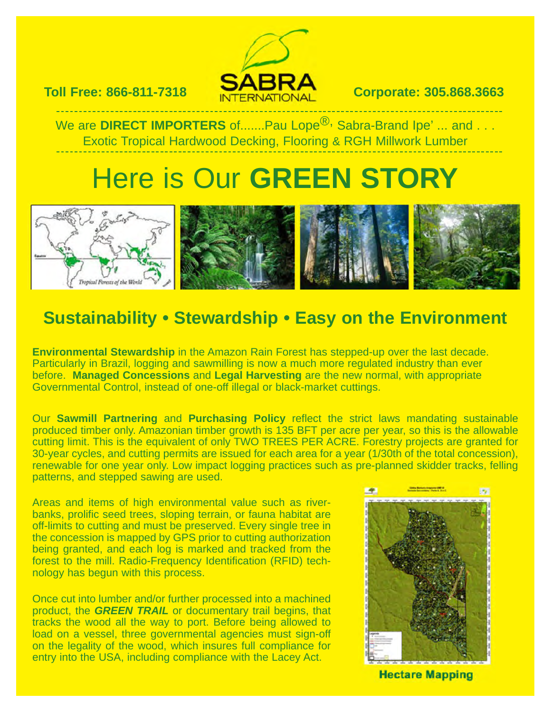

#### **Toll Free: 866-811-7318 Corporate: 305.868.3663**

We are **DIRECT IMPORTERS** of.......Pau Lope<sup>®,</sup> Sabra-Brand Ipe' ... and . . . Exotic Tropical Hardwood Decking, Flooring & RGH Millwork Lumber

## Here is Our **GREEN STORY**



### **Sustainability • Stewardship • Easy on the Environment**

**Environmental Stewardship** in the Amazon Rain Forest has stepped-up over the last decade. Particularly in Brazil, logging and sawmilling is now a much more regulated industry than ever before. **Managed Concessions** and **Legal Harvesting** are the new normal, with appropriate Governmental Control, instead of one-off illegal or black-market cuttings.

Our **Sawmill Partnering** and **Purchasing Policy** reflect the strict laws mandating sustainable produced timber only. Amazonian timber growth is 135 BFT per acre per year, so this is the allowable cutting limit. This is the equivalent of only TWO TREES PER ACRE. Forestry projects are granted for 30-year cycles, and cutting permits are issued for each area for a year (1/30th of the total concession), renewable for one year only. Low impact logging practices such as pre-planned skidder tracks, felling patterns, and stepped sawing are used.

Areas and items of high environmental value such as riverbanks, prolific seed trees, sloping terrain, or fauna habitat are off-limits to cutting and must be preserved. Every single tree in the concession is mapped by GPS prior to cutting authorization being granted, and each log is marked and tracked from the forest to the mill. Radio-Frequency Identification (RFID) technology has begun with this process.

Once cut into lumber and/or further processed into a machined product, the **GREEN TRAIL** or documentary trail begins, that tracks the wood all the way to port. Before being allowed to load on a vessel, three governmental agencies must sign-off on the legality of the wood, which insures full compliance for entry into the USA, including compliance with the Lacey Act.



**Hectare Mapping**